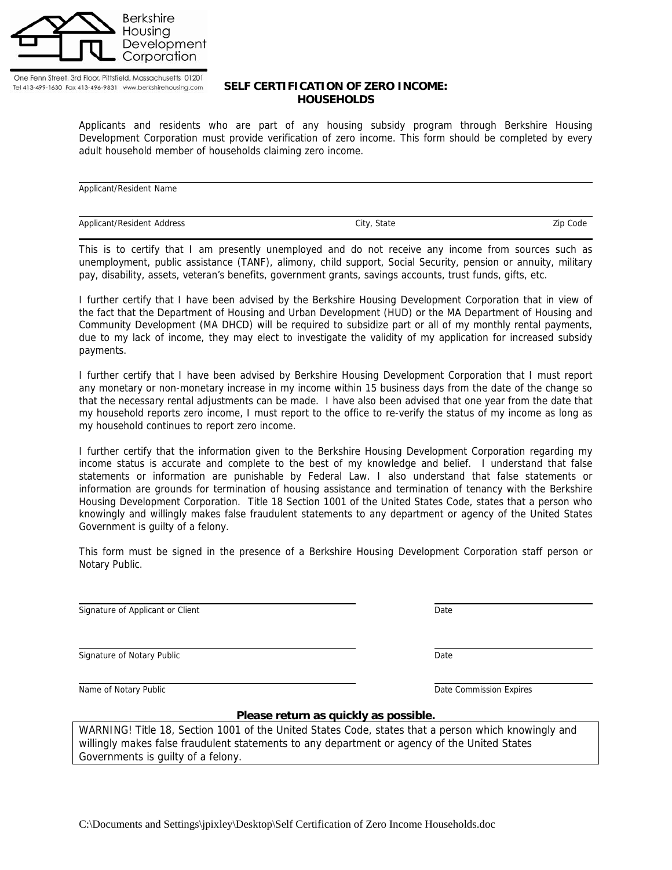

One Fenn Street, 3rd Floor, Pittsfield, Massachusetts 01201 Tel 413-499-1630 Fax 413-496-9831 www.berkshirehousing.com

## **SELF CERTIFICATION OF ZERO INCOME: HOUSEHOLDS**

Applicants and residents who are part of any housing subsidy program through Berkshire Housing Development Corporation must provide verification of zero income. This form should be completed by every adult household member of households claiming zero income.

Applicant/Resident Name Applicant/Resident Address and City, State City, State Zip Code

This is to certify that I am presently unemployed and do not receive any income from sources such as unemployment, public assistance (TANF), alimony, child support, Social Security, pension or annuity, military pay, disability, assets, veteran's benefits, government grants, savings accounts, trust funds, gifts, etc.

I further certify that I have been advised by the Berkshire Housing Development Corporation that in view of the fact that the Department of Housing and Urban Development (HUD) or the MA Department of Housing and Community Development (MA DHCD) will be required to subsidize part or all of my monthly rental payments, due to my lack of income, they may elect to investigate the validity of my application for increased subsidy payments.

I further certify that I have been advised by Berkshire Housing Development Corporation that I must report any monetary or non-monetary increase in my income within 15 business days from the date of the change so that the necessary rental adjustments can be made. I have also been advised that one year from the date that my household reports zero income, I must report to the office to re-verify the status of my income as long as my household continues to report zero income.

I further certify that the information given to the Berkshire Housing Development Corporation regarding my income status is accurate and complete to the best of my knowledge and belief. I understand that false statements or information are punishable by Federal Law. I also understand that false statements or information are grounds for termination of housing assistance and termination of tenancy with the Berkshire Housing Development Corporation. Title 18 Section 1001 of the United States Code, states that a person who knowingly and willingly makes false fraudulent statements to any department or agency of the United States Government is guilty of a felony.

This form must be signed in the presence of a Berkshire Housing Development Corporation staff person or Notary Public.

Signature of Applicant or Client Date Date Date

Signature of Notary Public **Date** Date of Notary Public Date **Date** Date **Date** Date **Date** 

Name of Notary Public Name of Notary Public Name of Notary Public Date Commission Expires

**Please return as quickly as possible.** 

WARNING! Title 18, Section 1001 of the United States Code, states that a person which knowingly and willingly makes false fraudulent statements to any department or agency of the United States Governments is guilty of a felony.